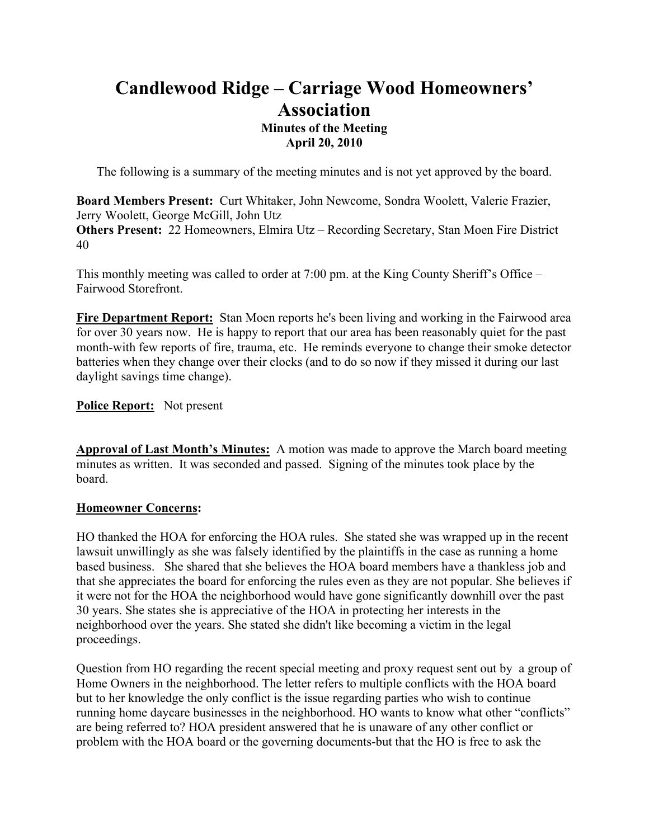# **Candlewood Ridge – Carriage Wood Homeowners' Association Minutes of the Meeting April 20, 2010**

The following is a summary of the meeting minutes and is not yet approved by the board.

**Board Members Present:** Curt Whitaker, John Newcome, Sondra Woolett, Valerie Frazier, Jerry Woolett, George McGill, John Utz **Others Present:** 22 Homeowners, Elmira Utz – Recording Secretary, Stan Moen Fire District 40

This monthly meeting was called to order at 7:00 pm. at the King County Sheriff's Office – Fairwood Storefront.

**Fire Department Report:** Stan Moen reports he's been living and working in the Fairwood area for over 30 years now. He is happy to report that our area has been reasonably quiet for the past month-with few reports of fire, trauma, etc. He reminds everyone to change their smoke detector batteries when they change over their clocks (and to do so now if they missed it during our last daylight savings time change).

# **Police Report:** Not present

**Approval of Last Month's Minutes:** A motion was made to approve the March board meeting minutes as written. It was seconded and passed. Signing of the minutes took place by the board.

# **Homeowner Concerns:**

HO thanked the HOA for enforcing the HOA rules. She stated she was wrapped up in the recent lawsuit unwillingly as she was falsely identified by the plaintiffs in the case as running a home based business. She shared that she believes the HOA board members have a thankless job and that she appreciates the board for enforcing the rules even as they are not popular. She believes if it were not for the HOA the neighborhood would have gone significantly downhill over the past 30 years. She states she is appreciative of the HOA in protecting her interests in the neighborhood over the years. She stated she didn't like becoming a victim in the legal proceedings.

Question from HO regarding the recent special meeting and proxy request sent out by a group of Home Owners in the neighborhood. The letter refers to multiple conflicts with the HOA board but to her knowledge the only conflict is the issue regarding parties who wish to continue running home daycare businesses in the neighborhood. HO wants to know what other "conflicts" are being referred to? HOA president answered that he is unaware of any other conflict or problem with the HOA board or the governing documents-but that the HO is free to ask the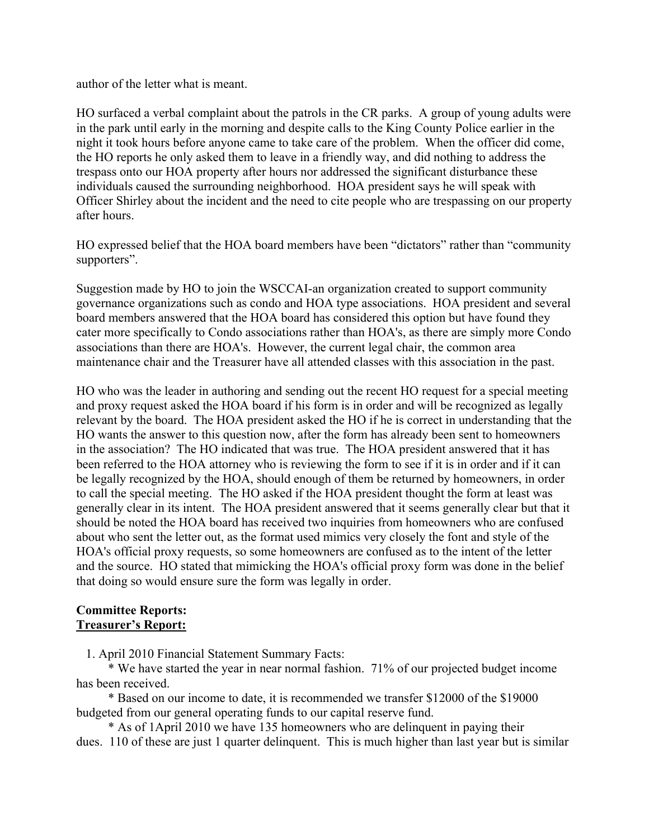author of the letter what is meant.

HO surfaced a verbal complaint about the patrols in the CR parks. A group of young adults were in the park until early in the morning and despite calls to the King County Police earlier in the night it took hours before anyone came to take care of the problem. When the officer did come, the HO reports he only asked them to leave in a friendly way, and did nothing to address the trespass onto our HOA property after hours nor addressed the significant disturbance these individuals caused the surrounding neighborhood. HOA president says he will speak with Officer Shirley about the incident and the need to cite people who are trespassing on our property after hours.

HO expressed belief that the HOA board members have been "dictators" rather than "community supporters".

Suggestion made by HO to join the WSCCAI-an organization created to support community governance organizations such as condo and HOA type associations. HOA president and several board members answered that the HOA board has considered this option but have found they cater more specifically to Condo associations rather than HOA's, as there are simply more Condo associations than there are HOA's. However, the current legal chair, the common area maintenance chair and the Treasurer have all attended classes with this association in the past.

HO who was the leader in authoring and sending out the recent HO request for a special meeting and proxy request asked the HOA board if his form is in order and will be recognized as legally relevant by the board. The HOA president asked the HO if he is correct in understanding that the HO wants the answer to this question now, after the form has already been sent to homeowners in the association? The HO indicated that was true. The HOA president answered that it has been referred to the HOA attorney who is reviewing the form to see if it is in order and if it can be legally recognized by the HOA, should enough of them be returned by homeowners, in order to call the special meeting. The HO asked if the HOA president thought the form at least was generally clear in its intent. The HOA president answered that it seems generally clear but that it should be noted the HOA board has received two inquiries from homeowners who are confused about who sent the letter out, as the format used mimics very closely the font and style of the HOA's official proxy requests, so some homeowners are confused as to the intent of the letter and the source. HO stated that mimicking the HOA's official proxy form was done in the belief that doing so would ensure sure the form was legally in order.

#### **Committee Reports: Treasurer's Report:**

1. April 2010 Financial Statement Summary Facts:

 \* We have started the year in near normal fashion. 71% of our projected budget income has been received.

 \* Based on our income to date, it is recommended we transfer \$12000 of the \$19000 budgeted from our general operating funds to our capital reserve fund.

 \* As of 1April 2010 we have 135 homeowners who are delinquent in paying their dues. 110 of these are just 1 quarter delinquent. This is much higher than last year but is similar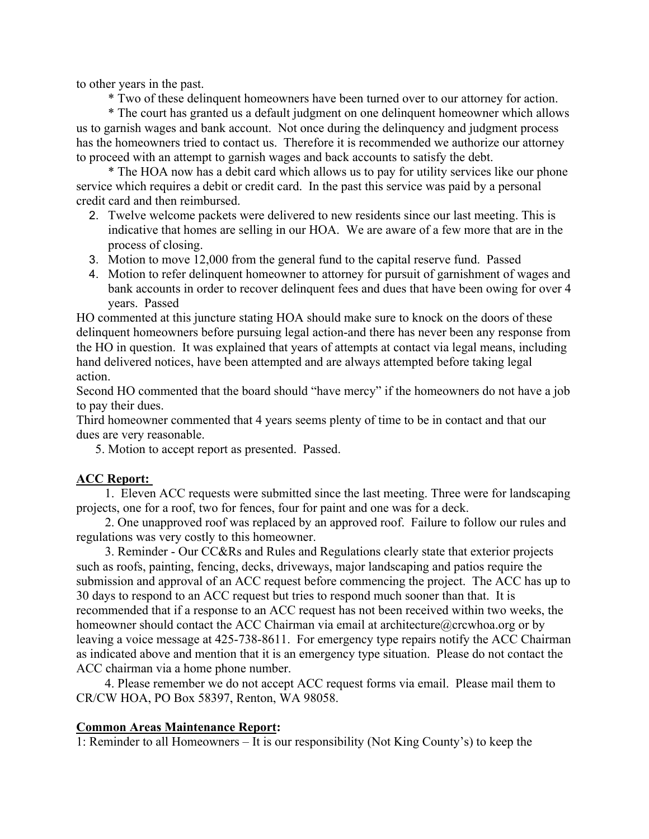to other years in the past.

\* Two of these delinquent homeowners have been turned over to our attorney for action.

 \* The court has granted us a default judgment on one delinquent homeowner which allows us to garnish wages and bank account. Not once during the delinquency and judgment process has the homeowners tried to contact us. Therefore it is recommended we authorize our attorney to proceed with an attempt to garnish wages and back accounts to satisfy the debt.

 \* The HOA now has a debit card which allows us to pay for utility services like our phone service which requires a debit or credit card. In the past this service was paid by a personal credit card and then reimbursed.

- 2. Twelve welcome packets were delivered to new residents since our last meeting. This is indicative that homes are selling in our HOA. We are aware of a few more that are in the process of closing.
- 3. Motion to move 12,000 from the general fund to the capital reserve fund. Passed
- 4. Motion to refer delinquent homeowner to attorney for pursuit of garnishment of wages and bank accounts in order to recover delinquent fees and dues that have been owing for over 4 years. Passed

HO commented at this juncture stating HOA should make sure to knock on the doors of these delinquent homeowners before pursuing legal action-and there has never been any response from the HO in question. It was explained that years of attempts at contact via legal means, including hand delivered notices, have been attempted and are always attempted before taking legal action.

Second HO commented that the board should "have mercy" if the homeowners do not have a job to pay their dues.

Third homeowner commented that 4 years seems plenty of time to be in contact and that our dues are very reasonable.

5. Motion to accept report as presented. Passed.

# **ACC Report:**

 1. Eleven ACC requests were submitted since the last meeting. Three were for landscaping projects, one for a roof, two for fences, four for paint and one was for a deck.

 2. One unapproved roof was replaced by an approved roof. Failure to follow our rules and regulations was very costly to this homeowner.

 3. Reminder - Our CC&Rs and Rules and Regulations clearly state that exterior projects such as roofs, painting, fencing, decks, driveways, major landscaping and patios require the submission and approval of an ACC request before commencing the project. The ACC has up to 30 days to respond to an ACC request but tries to respond much sooner than that. It is recommended that if a response to an ACC request has not been received within two weeks, the homeowner should contact the ACC Chairman via email at architecture@crcwhoa.org or by leaving a voice message at 425-738-8611. For emergency type repairs notify the ACC Chairman as indicated above and mention that it is an emergency type situation. Please do not contact the ACC chairman via a home phone number.

 4. Please remember we do not accept ACC request forms via email. Please mail them to CR/CW HOA, PO Box 58397, Renton, WA 98058.

#### **Common Areas Maintenance Report:**

1: Reminder to all Homeowners – It is our responsibility (Not King County's) to keep the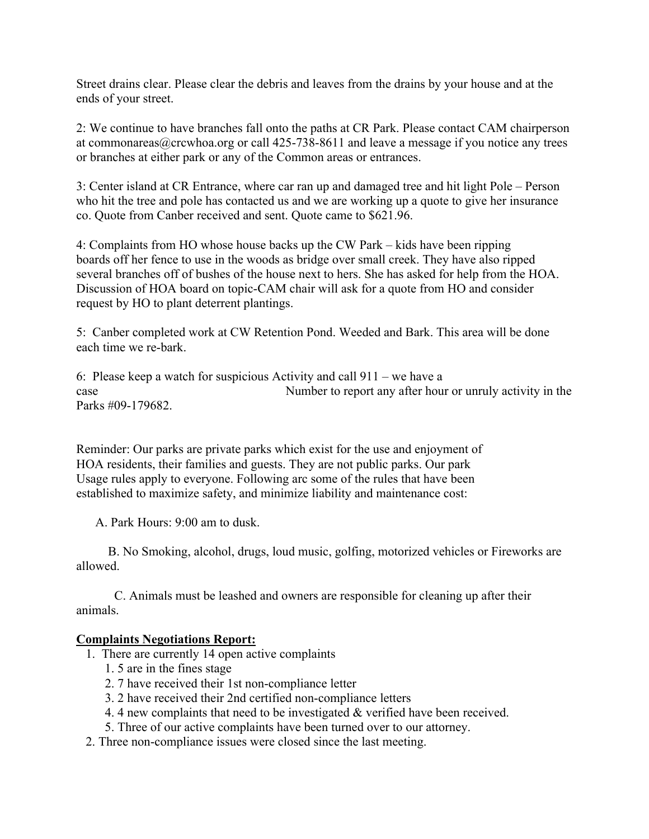Street drains clear. Please clear the debris and leaves from the drains by your house and at the ends of your street.

2: We continue to have branches fall onto the paths at CR Park. Please contact CAM chairperson at commonareas@crcwhoa.org or call 425-738-8611 and leave a message if you notice any trees or branches at either park or any of the Common areas or entrances.

3: Center island at CR Entrance, where car ran up and damaged tree and hit light Pole – Person who hit the tree and pole has contacted us and we are working up a quote to give her insurance co. Quote from Canber received and sent. Quote came to \$621.96.

4: Complaints from HO whose house backs up the CW Park – kids have been ripping boards off her fence to use in the woods as bridge over small creek. They have also ripped several branches off of bushes of the house next to hers. She has asked for help from the HOA. Discussion of HOA board on topic-CAM chair will ask for a quote from HO and consider request by HO to plant deterrent plantings.

5: Canber completed work at CW Retention Pond. Weeded and Bark. This area will be done each time we re-bark.

6: Please keep a watch for suspicious Activity and call 911 – we have a case Number to report any after hour or unruly activity in the Parks #09-179682.

Reminder: Our parks are private parks which exist for the use and enjoyment of HOA residents, their families and guests. They are not public parks. Our park Usage rules apply to everyone. Following arc some of the rules that have been established to maximize safety, and minimize liability and maintenance cost:

A. Park Hours: 9:00 am to dusk.

 B. No Smoking, alcohol, drugs, loud music, golfing, motorized vehicles or Fireworks are allowed.

 C. Animals must be leashed and owners are responsible for cleaning up after their animals.

#### **Complaints Negotiations Report:**

- 1. There are currently 14 open active complaints
	- 1. 5 are in the fines stage
	- 2. 7 have received their 1st non-compliance letter
	- 3. 2 have received their 2nd certified non-compliance letters
	- 4. 4 new complaints that need to be investigated & verified have been received.
	- 5. Three of our active complaints have been turned over to our attorney.
- 2. Three non-compliance issues were closed since the last meeting.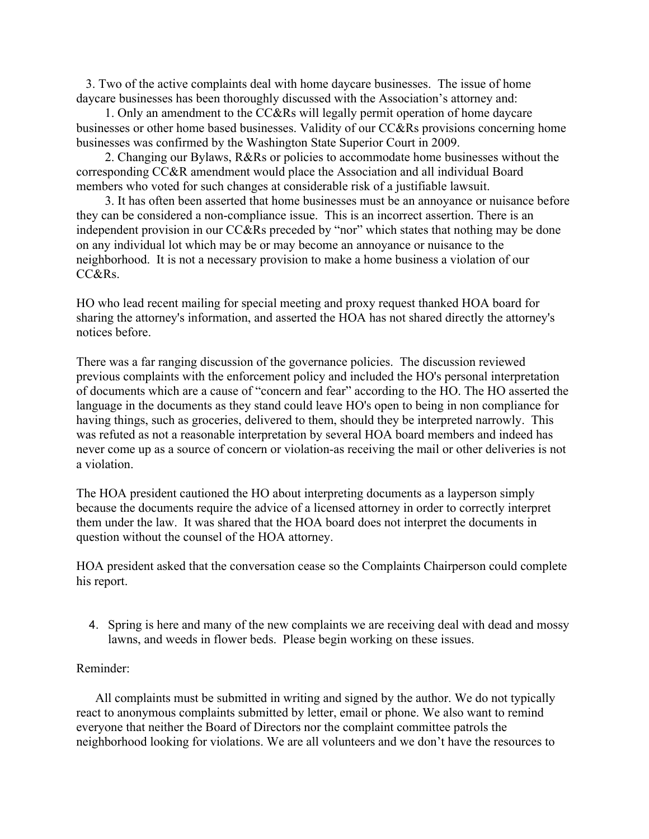3. Two of the active complaints deal with home daycare businesses. The issue of home daycare businesses has been thoroughly discussed with the Association's attorney and:

 1. Only an amendment to the CC&Rs will legally permit operation of home daycare businesses or other home based businesses. Validity of our CC&Rs provisions concerning home businesses was confirmed by the Washington State Superior Court in 2009.

 2. Changing our Bylaws, R&Rs or policies to accommodate home businesses without the corresponding CC&R amendment would place the Association and all individual Board members who voted for such changes at considerable risk of a justifiable lawsuit.

 3. It has often been asserted that home businesses must be an annoyance or nuisance before they can be considered a non-compliance issue. This is an incorrect assertion. There is an independent provision in our CC&Rs preceded by "nor" which states that nothing may be done on any individual lot which may be or may become an annoyance or nuisance to the neighborhood. It is not a necessary provision to make a home business a violation of our CC&Rs.

HO who lead recent mailing for special meeting and proxy request thanked HOA board for sharing the attorney's information, and asserted the HOA has not shared directly the attorney's notices before.

There was a far ranging discussion of the governance policies. The discussion reviewed previous complaints with the enforcement policy and included the HO's personal interpretation of documents which are a cause of "concern and fear" according to the HO. The HO asserted the language in the documents as they stand could leave HO's open to being in non compliance for having things, such as groceries, delivered to them, should they be interpreted narrowly. This was refuted as not a reasonable interpretation by several HOA board members and indeed has never come up as a source of concern or violation-as receiving the mail or other deliveries is not a violation.

The HOA president cautioned the HO about interpreting documents as a layperson simply because the documents require the advice of a licensed attorney in order to correctly interpret them under the law. It was shared that the HOA board does not interpret the documents in question without the counsel of the HOA attorney.

HOA president asked that the conversation cease so the Complaints Chairperson could complete his report.

4. Spring is here and many of the new complaints we are receiving deal with dead and mossy lawns, and weeds in flower beds. Please begin working on these issues.

#### Reminder:

 All complaints must be submitted in writing and signed by the author. We do not typically react to anonymous complaints submitted by letter, email or phone. We also want to remind everyone that neither the Board of Directors nor the complaint committee patrols the neighborhood looking for violations. We are all volunteers and we don't have the resources to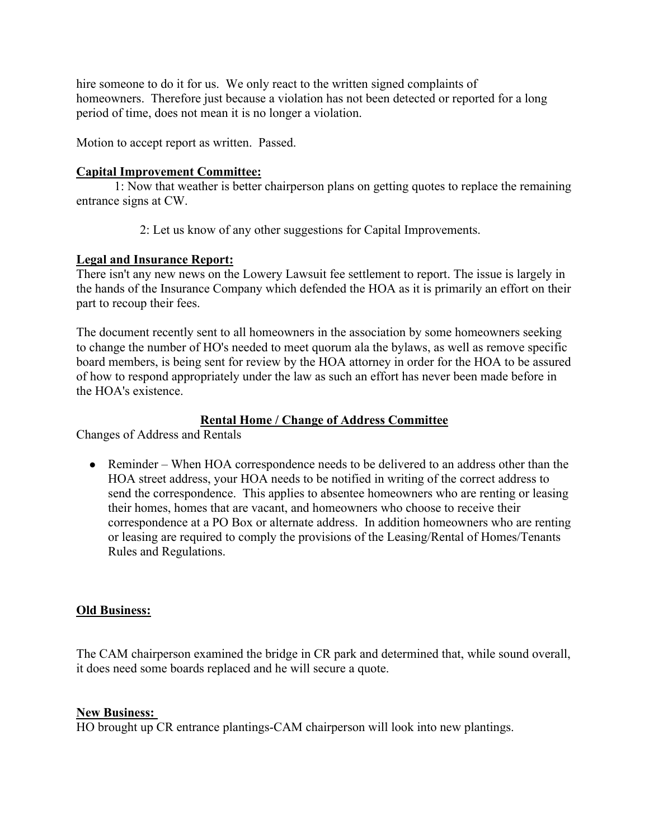hire someone to do it for us. We only react to the written signed complaints of homeowners. Therefore just because a violation has not been detected or reported for a long period of time, does not mean it is no longer a violation.

Motion to accept report as written. Passed.

## **Capital Improvement Committee:**

 1: Now that weather is better chairperson plans on getting quotes to replace the remaining entrance signs at CW.

2: Let us know of any other suggestions for Capital Improvements.

#### **Legal and Insurance Report:**

There isn't any new news on the Lowery Lawsuit fee settlement to report. The issue is largely in the hands of the Insurance Company which defended the HOA as it is primarily an effort on their part to recoup their fees.

The document recently sent to all homeowners in the association by some homeowners seeking to change the number of HO's needed to meet quorum ala the bylaws, as well as remove specific board members, is being sent for review by the HOA attorney in order for the HOA to be assured of how to respond appropriately under the law as such an effort has never been made before in the HOA's existence.

## **Rental Home / Change of Address Committee**

Changes of Address and Rentals

• Reminder – When HOA correspondence needs to be delivered to an address other than the HOA street address, your HOA needs to be notified in writing of the correct address to send the correspondence. This applies to absentee homeowners who are renting or leasing their homes, homes that are vacant, and homeowners who choose to receive their correspondence at a PO Box or alternate address. In addition homeowners who are renting or leasing are required to comply the provisions of the Leasing/Rental of Homes/Tenants Rules and Regulations.

#### **Old Business:**

The CAM chairperson examined the bridge in CR park and determined that, while sound overall, it does need some boards replaced and he will secure a quote.

#### **New Business:**

HO brought up CR entrance plantings-CAM chairperson will look into new plantings.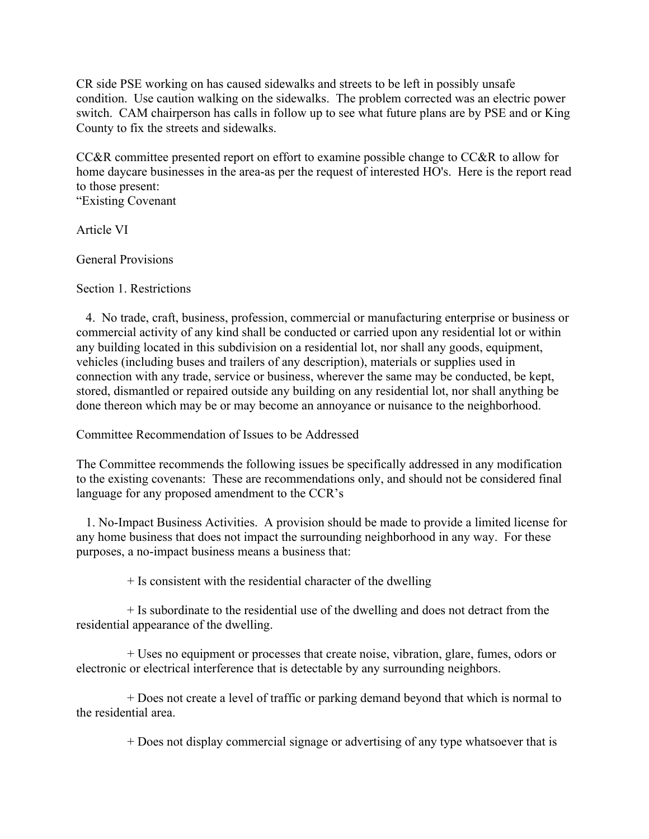CR side PSE working on has caused sidewalks and streets to be left in possibly unsafe condition. Use caution walking on the sidewalks. The problem corrected was an electric power switch. CAM chairperson has calls in follow up to see what future plans are by PSE and or King County to fix the streets and sidewalks.

CC&R committee presented report on effort to examine possible change to CC&R to allow for home daycare businesses in the area-as per the request of interested HO's. Here is the report read to those present:

"Existing Covenant

Article VI

General Provisions

Section 1. Restrictions

 4. No trade, craft, business, profession, commercial or manufacturing enterprise or business or commercial activity of any kind shall be conducted or carried upon any residential lot or within any building located in this subdivision on a residential lot, nor shall any goods, equipment, vehicles (including buses and trailers of any description), materials or supplies used in connection with any trade, service or business, wherever the same may be conducted, be kept, stored, dismantled or repaired outside any building on any residential lot, nor shall anything be done thereon which may be or may become an annoyance or nuisance to the neighborhood.

Committee Recommendation of Issues to be Addressed

The Committee recommends the following issues be specifically addressed in any modification to the existing covenants: These are recommendations only, and should not be considered final language for any proposed amendment to the CCR's

 1. No-Impact Business Activities. A provision should be made to provide a limited license for any home business that does not impact the surrounding neighborhood in any way. For these purposes, a no-impact business means a business that:

 $+$  Is consistent with the residential character of the dwelling

 + Is subordinate to the residential use of the dwelling and does not detract from the residential appearance of the dwelling.

 + Uses no equipment or processes that create noise, vibration, glare, fumes, odors or electronic or electrical interference that is detectable by any surrounding neighbors.

 + Does not create a level of traffic or parking demand beyond that which is normal to the residential area.

+ Does not display commercial signage or advertising of any type whatsoever that is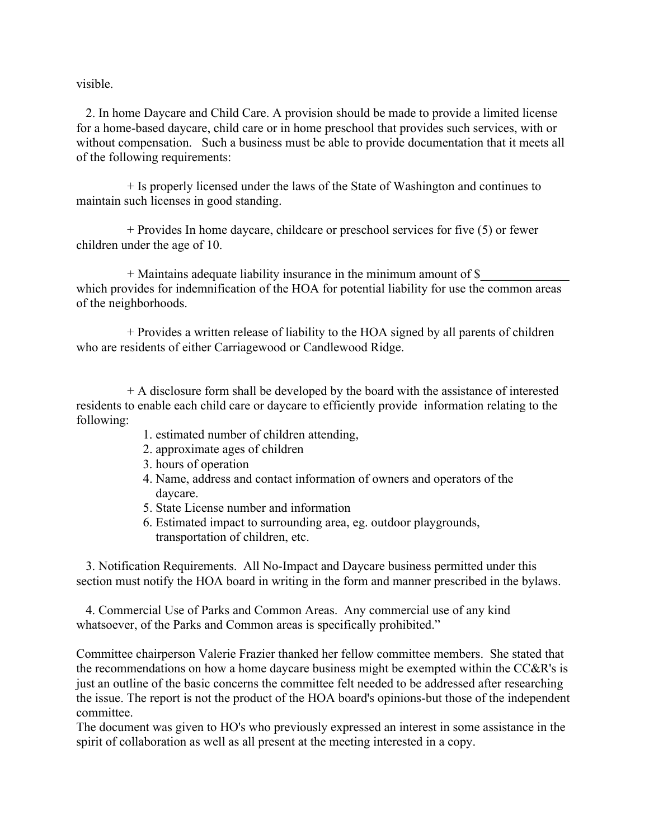visible.

 2. In home Daycare and Child Care. A provision should be made to provide a limited license for a home-based daycare, child care or in home preschool that provides such services, with or without compensation. Such a business must be able to provide documentation that it meets all of the following requirements:

 + Is properly licensed under the laws of the State of Washington and continues to maintain such licenses in good standing.

 + Provides In home daycare, childcare or preschool services for five (5) or fewer children under the age of 10.

+ Maintains adequate liability insurance in the minimum amount of  $\$$ which provides for indemnification of the HOA for potential liability for use the common areas of the neighborhoods.

 + Provides a written release of liability to the HOA signed by all parents of children who are residents of either Carriagewood or Candlewood Ridge.

 + A disclosure form shall be developed by the board with the assistance of interested residents to enable each child care or daycare to efficiently provide information relating to the following:

- 1. estimated number of children attending,
- 2. approximate ages of children
- 3. hours of operation
- 4. Name, address and contact information of owners and operators of the daycare.
- 5. State License number and information
- 6. Estimated impact to surrounding area, eg. outdoor playgrounds, transportation of children, etc.

 3. Notification Requirements. All No-Impact and Daycare business permitted under this section must notify the HOA board in writing in the form and manner prescribed in the bylaws.

 4. Commercial Use of Parks and Common Areas. Any commercial use of any kind whatsoever, of the Parks and Common areas is specifically prohibited."

Committee chairperson Valerie Frazier thanked her fellow committee members. She stated that the recommendations on how a home daycare business might be exempted within the CC&R's is just an outline of the basic concerns the committee felt needed to be addressed after researching the issue. The report is not the product of the HOA board's opinions-but those of the independent committee.

The document was given to HO's who previously expressed an interest in some assistance in the spirit of collaboration as well as all present at the meeting interested in a copy.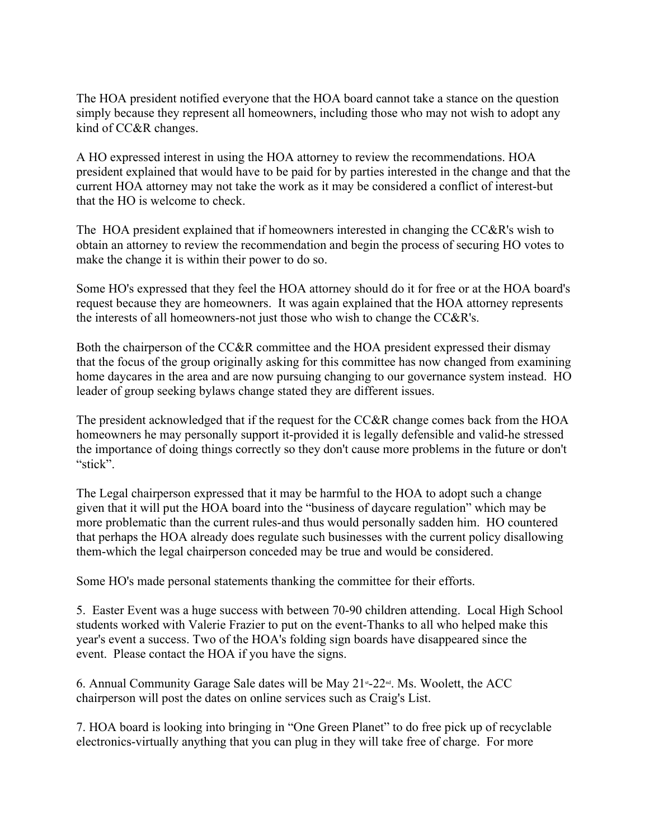The HOA president notified everyone that the HOA board cannot take a stance on the question simply because they represent all homeowners, including those who may not wish to adopt any kind of CC&R changes.

A HO expressed interest in using the HOA attorney to review the recommendations. HOA president explained that would have to be paid for by parties interested in the change and that the current HOA attorney may not take the work as it may be considered a conflict of interest-but that the HO is welcome to check.

The HOA president explained that if homeowners interested in changing the CC&R's wish to obtain an attorney to review the recommendation and begin the process of securing HO votes to make the change it is within their power to do so.

Some HO's expressed that they feel the HOA attorney should do it for free or at the HOA board's request because they are homeowners. It was again explained that the HOA attorney represents the interests of all homeowners-not just those who wish to change the CC&R's.

Both the chairperson of the CC&R committee and the HOA president expressed their dismay that the focus of the group originally asking for this committee has now changed from examining home daycares in the area and are now pursuing changing to our governance system instead. HO leader of group seeking bylaws change stated they are different issues.

The president acknowledged that if the request for the CC&R change comes back from the HOA homeowners he may personally support it-provided it is legally defensible and valid-he stressed the importance of doing things correctly so they don't cause more problems in the future or don't "stick".

The Legal chairperson expressed that it may be harmful to the HOA to adopt such a change given that it will put the HOA board into the "business of daycare regulation" which may be more problematic than the current rules-and thus would personally sadden him. HO countered that perhaps the HOA already does regulate such businesses with the current policy disallowing them-which the legal chairperson conceded may be true and would be considered.

Some HO's made personal statements thanking the committee for their efforts.

5. Easter Event was a huge success with between 70-90 children attending. Local High School students worked with Valerie Frazier to put on the event-Thanks to all who helped make this year's event a success. Two of the HOA's folding sign boards have disappeared since the event. Please contact the HOA if you have the signs.

6. Annual Community Garage Sale dates will be May  $21*-22\omega$ . Ms. Woolett, the ACC chairperson will post the dates on online services such as Craig's List.

7. HOA board is looking into bringing in "One Green Planet" to do free pick up of recyclable electronics-virtually anything that you can plug in they will take free of charge. For more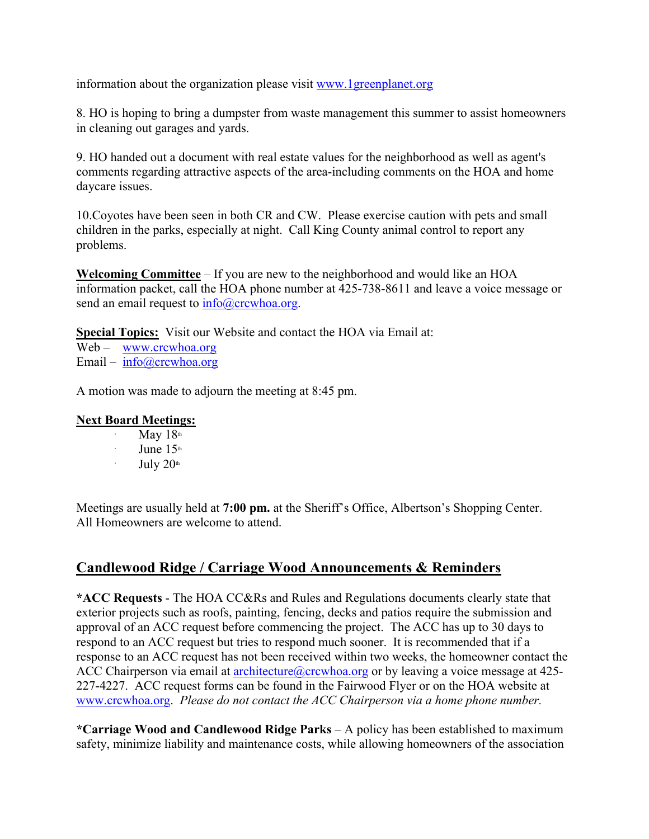information about the organization please visit www.1greenplanet.org

8. HO is hoping to bring a dumpster from waste management this summer to assist homeowners in cleaning out garages and yards.

9. HO handed out a document with real estate values for the neighborhood as well as agent's comments regarding attractive aspects of the area-including comments on the HOA and home daycare issues.

10.Coyotes have been seen in both CR and CW. Please exercise caution with pets and small children in the parks, especially at night. Call King County animal control to report any problems.

**Welcoming Committee** – If you are new to the neighborhood and would like an HOA information packet, call the HOA phone number at 425-738-8611 and leave a voice message or send an email request to  $info@crcwhoa.org$ .

**Special Topics:** Visit our Website and contact the HOA via Email at: Web – www.crcwhoa.org Email – info@crcwhoa.org

A motion was made to adjourn the meeting at 8:45 pm.

#### **Next Board Meetings:**

- ∙ May  $18<sup>th</sup>$
- ∙ June  $15<sup>th</sup>$
- ∙ July  $20<sup>th</sup>$

Meetings are usually held at **7:00 pm.** at the Sheriff's Office, Albertson's Shopping Center. All Homeowners are welcome to attend.

# **Candlewood Ridge / Carriage Wood Announcements & Reminders**

**\*ACC Requests** - The HOA CC&Rs and Rules and Regulations documents clearly state that exterior projects such as roofs, painting, fencing, decks and patios require the submission and approval of an ACC request before commencing the project. The ACC has up to 30 days to respond to an ACC request but tries to respond much sooner. It is recommended that if a response to an ACC request has not been received within two weeks, the homeowner contact the ACC Chairperson via email at **architecture** (a) crcwhoa.org or by leaving a voice message at 425-227-4227. ACC request forms can be found in the Fairwood Flyer or on the HOA website at www.crcwhoa.org. *Please do not contact the ACC Chairperson via a home phone number.*

**\*Carriage Wood and Candlewood Ridge Parks** – A policy has been established to maximum safety, minimize liability and maintenance costs, while allowing homeowners of the association